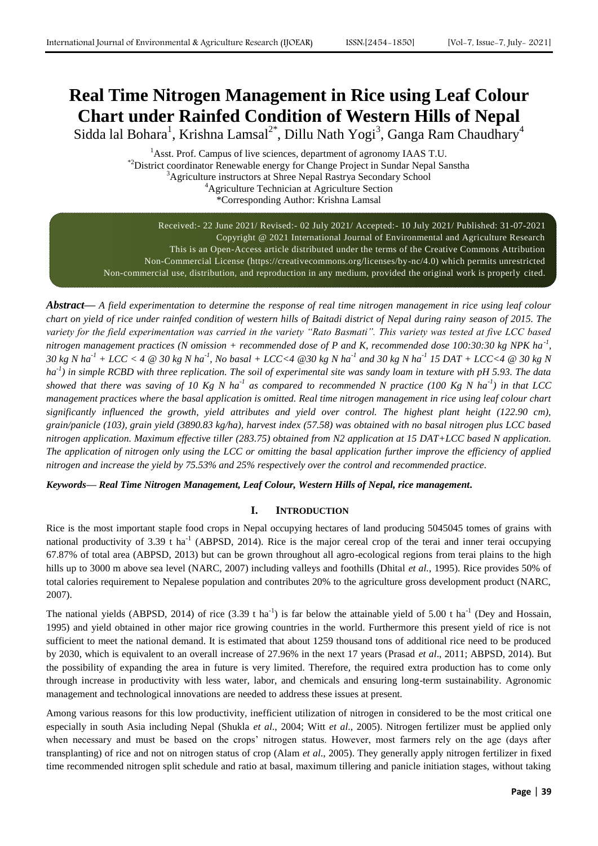# **Real Time Nitrogen Management in Rice using Leaf Colour Chart under Rainfed Condition of Western Hills of Nepal**

Sidda lal Bohara<sup>1</sup>, Krishna Lamsal<sup>2\*</sup>, Dillu Nath Yogi<sup>3</sup>, Ganga Ram Chaudhary<sup>4</sup>

<sup>1</sup>Asst. Prof. Campus of live sciences, department of agronomy IAAS T.U. \*2District coordinator Renewable energy for Change Project in Sundar Nepal Sanstha <sup>3</sup>Agriculture instructors at Shree Nepal Rastrya Secondary School <sup>4</sup>Agriculture Technician at Agriculture Section \*Corresponding Author: Krishna Lamsal

Received:- 22 June 2021/ Revised:- 02 July 2021/ Accepted:- 10 July 2021/ Published: 31-07-2021 Copyright @ 2021 International Journal of Environmental and Agriculture Research This is an Open-Access article distributed under the terms of the Creative Commons Attribution Non-Commercial License (https://creativecommons.org/licenses/by-nc/4.0) which permits unrestricted Non-commercial use, distribution, and reproduction in any medium, provided the original work is properly cited.

*Abstract— A field experimentation to determine the response of real time nitrogen management in rice using leaf colour chart on yield of rice under rainfed condition of western hills of Baitadi district of Nepal during rainy season of 2015. The variety for the field experimentation was carried in the variety "Rato Basmati". This variety was tested at five LCC based nitrogen management practices (N omission + recommended dose of P and K, recommended dose 100:30:30 kg NPK ha-1 , 30 kg N ha-1 + LCC < 4 @ 30 kg N ha-1 , No basal + LCC<4 @30 kg N ha-1 and 30 kg N ha-1 15 DAT + LCC<4 @ 30 kg N ha-1 ) in simple RCBD with three replication. The soil of experimental site was sandy loam in texture with pH 5.93. The data showed that there was saving of 10 Kg N ha-1 as compared to recommended N practice (100 Kg N ha-1 ) in that LCC management practices where the basal application is omitted. Real time nitrogen management in rice using leaf colour chart significantly influenced the growth, yield attributes and yield over control. The highest plant height (122.90 cm), grain/panicle (103), grain yield (3890.83 kg/ha), harvest index (57.58) was obtained with no basal nitrogen plus LCC based nitrogen application. Maximum effective tiller (283.75) obtained from N2 application at 15 DAT+LCC based N application. The application of nitrogen only using the LCC or omitting the basal application further improve the efficiency of applied nitrogen and increase the yield by 75.53% and 25% respectively over the control and recommended practice.*

*Keywords— Real Time Nitrogen Management, Leaf Colour, Western Hills of Nepal, rice management.*

### **I. INTRODUCTION**

Rice is the most important staple food crops in Nepal occupying hectares of land producing 5045045 tomes of grains with national productivity of 3.39 t ha<sup>-1</sup> (ABPSD, 2014). Rice is the major cereal crop of the terai and inner terai occupying 67.87% of total area (ABPSD, 2013) but can be grown throughout all agro-ecological regions from terai plains to the high hills up to 3000 m above sea level (NARC, 2007) including valleys and foothills (Dhital *et al.*, 1995). Rice provides 50% of total calories requirement to Nepalese population and contributes 20% to the agriculture gross development product (NARC, 2007).

The national yields (ABPSD, 2014) of rice  $(3.39 \text{ t} \text{ ha}^{-1})$  is far below the attainable yield of 5.00 t ha<sup>-1</sup> (Dey and Hossain, 1995) and yield obtained in other major rice growing countries in the world. Furthermore this present yield of rice is not sufficient to meet the national demand. It is estimated that about 1259 thousand tons of additional rice need to be produced by 2030, which is equivalent to an overall increase of 27.96% in the next 17 years (Prasad *et al*., 2011; ABPSD, 2014). But the possibility of expanding the area in future is very limited. Therefore, the required extra production has to come only through increase in productivity with less water, labor, and chemicals and ensuring long-term sustainability. Agronomic management and technological innovations are needed to address these issues at present.

Among various reasons for this low productivity, inefficient utilization of nitrogen in considered to be the most critical one especially in south Asia including Nepal (Shukla *et al*., 2004; Witt *et al*., 2005). Nitrogen fertilizer must be applied only when necessary and must be based on the crops' nitrogen status. However, most farmers rely on the age (days after transplanting) of rice and not on nitrogen status of crop (Alam *et al*., 2005). They generally apply nitrogen fertilizer in fixed time recommended nitrogen split schedule and ratio at basal, maximum tillering and panicle initiation stages, without taking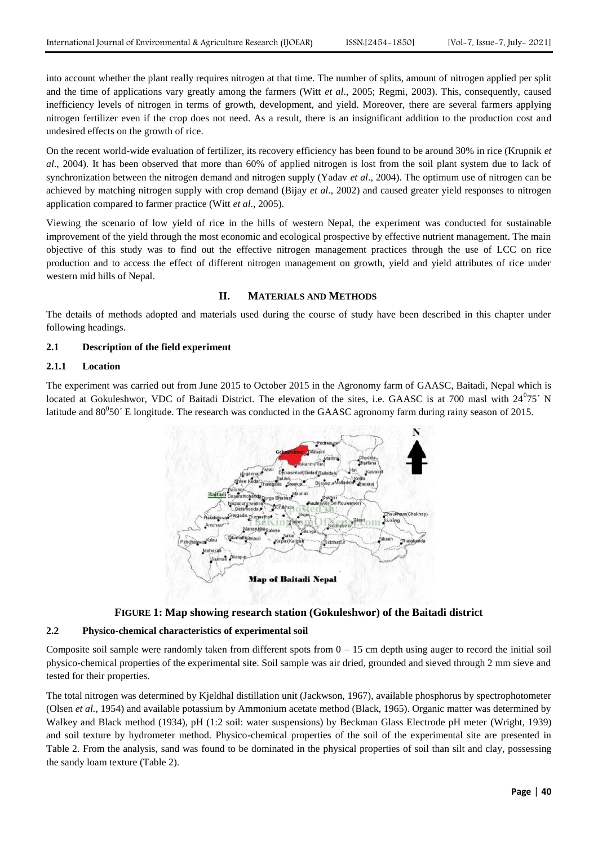into account whether the plant really requires nitrogen at that time. The number of splits, amount of nitrogen applied per split and the time of applications vary greatly among the farmers (Witt *et al*., 2005; Regmi, 2003). This, consequently, caused inefficiency levels of nitrogen in terms of growth, development, and yield. Moreover, there are several farmers applying nitrogen fertilizer even if the crop does not need. As a result, there is an insignificant addition to the production cost and undesired effects on the growth of rice.

On the recent world-wide evaluation of fertilizer, its recovery efficiency has been found to be around 30% in rice (Krupnik *et al*., 2004). It has been observed that more than 60% of applied nitrogen is lost from the soil plant system due to lack of synchronization between the nitrogen demand and nitrogen supply (Yadav *et al*., 2004). The optimum use of nitrogen can be achieved by matching nitrogen supply with crop demand (Bijay *et al*., 2002) and caused greater yield responses to nitrogen application compared to farmer practice (Witt *et al*., 2005).

Viewing the scenario of low yield of rice in the hills of western Nepal, the experiment was conducted for sustainable improvement of the yield through the most economic and ecological prospective by effective nutrient management. The main objective of this study was to find out the effective nitrogen management practices through the use of LCC on rice production and to access the effect of different nitrogen management on growth, yield and yield attributes of rice under western mid hills of Nepal.

#### **II. MATERIALS AND METHODS**

The details of methods adopted and materials used during the course of study have been described in this chapter under following headings.

#### **2.1 Description of the field experiment**

#### **2.1.1 Location**

The experiment was carried out from June 2015 to October 2015 in the Agronomy farm of GAASC, Baitadi, Nepal which is located at Gokuleshwor, VDC of Baitadi District. The elevation of the sites, i.e. GAASC is at 700 masl with  $24^0$ 75<sup> $\cdot$ </sup> N latitude and  $80^0 50'$  E longitude. The research was conducted in the GAASC agronomy farm during rainy season of 2015.



## **FIGURE 1: Map showing research station (Gokuleshwor) of the Baitadi district**

#### **2.2 Physico-chemical characteristics of experimental soil**

Composite soil sample were randomly taken from different spots from  $0 - 15$  cm depth using auger to record the initial soil physico-chemical properties of the experimental site. Soil sample was air dried, grounded and sieved through 2 mm sieve and tested for their properties.

The total nitrogen was determined by Kjeldhal distillation unit (Jackwson, 1967), available phosphorus by spectrophotometer (Olsen *et al.*, 1954) and available potassium by Ammonium acetate method (Black, 1965). Organic matter was determined by Walkey and Black method (1934), pH (1:2 soil: water suspensions) by Beckman Glass Electrode pH meter (Wright, 1939) and soil texture by hydrometer method. Physico-chemical properties of the soil of the experimental site are presented in Table 2. From the analysis, sand was found to be dominated in the physical properties of soil than silt and clay, possessing the sandy loam texture (Table 2).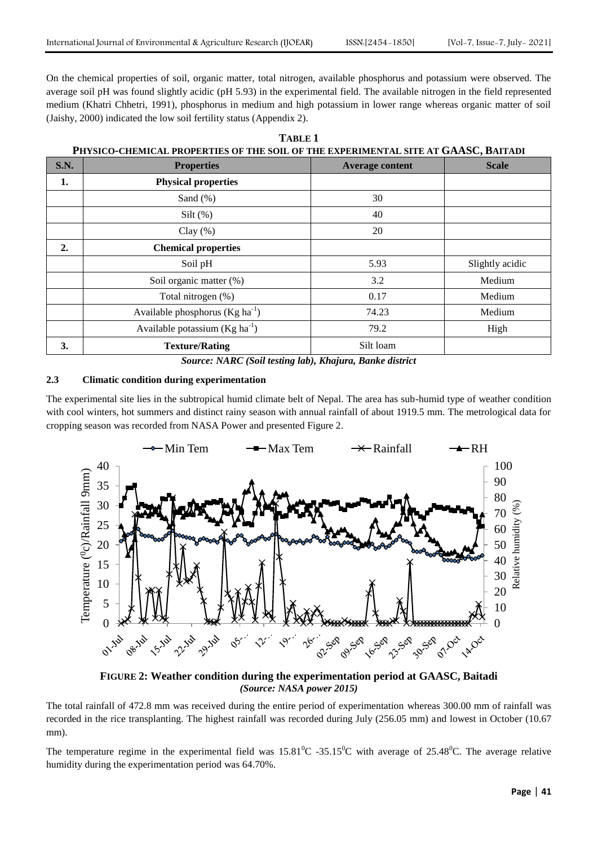On the chemical properties of soil, organic matter, total nitrogen, available phosphorus and potassium were observed. The average soil pH was found slightly acidic (pH 5.93) in the experimental field. The available nitrogen in the field represented medium (Khatri Chhetri, 1991), phosphorus in medium and high potassium in lower range whereas organic matter of soil (Jaishy, 2000) indicated the low soil fertility status (Appendix 2).

| PHYSICO-CHEMICAL PROPERTIES OF THE SOIL OF THE EXPERIMENTAL SITE AT GAASC, BAITADI |                                                |                        |                 |  |  |
|------------------------------------------------------------------------------------|------------------------------------------------|------------------------|-----------------|--|--|
| <b>S.N.</b>                                                                        | <b>Properties</b>                              | <b>Average content</b> | <b>Scale</b>    |  |  |
| 1.                                                                                 | <b>Physical properties</b>                     |                        |                 |  |  |
|                                                                                    | Sand $(\% )$                                   | 30                     |                 |  |  |
|                                                                                    | Silt $(\%)$                                    | 40                     |                 |  |  |
|                                                                                    | Clay $(\% )$                                   | 20                     |                 |  |  |
| 2.                                                                                 | <b>Chemical properties</b>                     |                        |                 |  |  |
|                                                                                    | Soil pH                                        | 5.93                   | Slightly acidic |  |  |
|                                                                                    | Soil organic matter (%)                        | 3.2                    | Medium          |  |  |
|                                                                                    | Total nitrogen (%)                             | 0.17                   | Medium          |  |  |
|                                                                                    | Available phosphorus ( $Kg$ ha <sup>-1</sup> ) | 74.23                  | Medium          |  |  |
|                                                                                    | Available potassium $(Kg ha^{-1})$             | 79.2                   | High            |  |  |
| 3.                                                                                 | <b>Texture/Rating</b>                          | Silt loam              |                 |  |  |

| TABLE 1 |                                                                                  |  |  |  |
|---------|----------------------------------------------------------------------------------|--|--|--|
|         | 'uvsicocuemicat ddodedties oe tue soil oe tue evdedimental site at CAASC-Raitadi |  |  |  |

*Source: NARC (Soil testing lab), Khajura, Banke district*

### **2.3 Climatic condition during experimentation**

The experimental site lies in the subtropical humid climate belt of Nepal. The area has sub-humid type of weather condition with cool winters, hot summers and distinct rainy season with annual rainfall of about 1919.5 mm. The metrological data for cropping season was recorded from NASA Power and presented Figure 2.



**FIGURE 2: Weather condition during the experimentation period at GAASC, Baitadi** *(Source: NASA power 2015)*

The total rainfall of 472.8 mm was received during the entire period of experimentation whereas 300.00 mm of rainfall was recorded in the rice transplanting. The highest rainfall was recorded during July (256.05 mm) and lowest in October (10.67 mm).

The temperature regime in the experimental field was  $15.81^{\circ}$ C -35.15<sup>o</sup>C with average of 25.48<sup>o</sup>C. The average relative humidity during the experimentation period was 64.70%.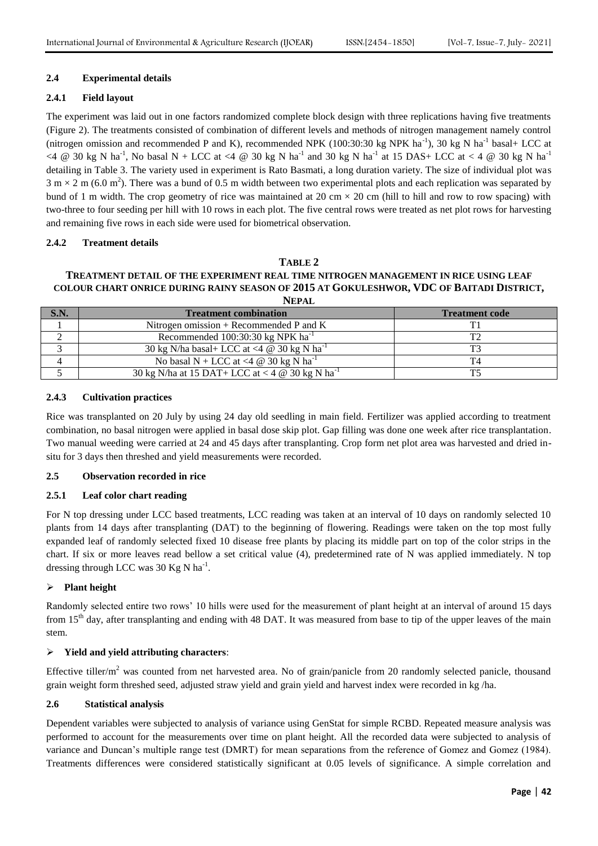# **2.4 Experimental details**

# **2.4.1 Field layout**

The experiment was laid out in one factors randomized complete block design with three replications having five treatments (Figure 2). The treatments consisted of combination of different levels and methods of nitrogen management namely control (nitrogen omission and recommended P and K), recommended NPK (100:30:30 kg NPK ha<sup>-1</sup>), 30 kg N ha<sup>-1</sup> basal+ LCC at <4 @ 30 kg N ha<sup>-1</sup>, No basal N + LCC at <4 @ 30 kg N ha<sup>-1</sup> and 30 kg N ha<sup>-1</sup> at 15 DAS+ LCC at < 4 @ 30 kg N ha<sup>-1</sup> detailing in Table 3. The variety used in experiment is Rato Basmati, a long duration variety. The size of individual plot was  $3 \text{ m} \times 2 \text{ m}$  (6.0 m<sup>2</sup>). There was a bund of 0.5 m width between two experimental plots and each replication was separated by bund of 1 m width. The crop geometry of rice was maintained at 20 cm  $\times$  20 cm (hill to hill and row to row spacing) with two-three to four seeding per hill with 10 rows in each plot. The five central rows were treated as net plot rows for harvesting and remaining five rows in each side were used for biometrical observation.

### **2.4.2 Treatment details**

### **TABLE 2**

#### **TREATMENT DETAIL OF THE EXPERIMENT REAL TIME NITROGEN MANAGEMENT IN RICE USING LEAF COLOUR CHART ONRICE DURING RAINY SEASON OF 2015 AT GOKULESHWOR, VDC OF BAITADI DISTRICT, NEPAL**

| <b>S.N.</b> | <b>Treatment combination</b>                                       | <b>Treatment code</b> |
|-------------|--------------------------------------------------------------------|-----------------------|
|             | Nitrogen omission + Recommended P and K                            |                       |
|             | Recommended 100:30:30 kg NPK ha <sup>-1</sup>                      |                       |
|             | 30 kg N/ha basal+ LCC at <4 $@$ 30 kg N ha <sup>-1</sup>           |                       |
|             | No basal N + LCC at <4 $\omega$ 30 kg N ha <sup>-1</sup>           |                       |
|             | 30 kg N/ha at 15 DAT+ LCC at < 4 $\omega$ 30 kg N ha <sup>-1</sup> |                       |

### **2.4.3 Cultivation practices**

Rice was transplanted on 20 July by using 24 day old seedling in main field. Fertilizer was applied according to treatment combination, no basal nitrogen were applied in basal dose skip plot. Gap filling was done one week after rice transplantation. Two manual weeding were carried at 24 and 45 days after transplanting. Crop form net plot area was harvested and dried insitu for 3 days then threshed and yield measurements were recorded.

### **2.5 Observation recorded in rice**

### **2.5.1 Leaf color chart reading**

For N top dressing under LCC based treatments, LCC reading was taken at an interval of 10 days on randomly selected 10 plants from 14 days after transplanting (DAT) to the beginning of flowering. Readings were taken on the top most fully expanded leaf of randomly selected fixed 10 disease free plants by placing its middle part on top of the color strips in the chart. If six or more leaves read bellow a set critical value (4), predetermined rate of N was applied immediately. N top dressing through LCC was 30 Kg N ha<sup>-1</sup>.

### **Plant height**

Randomly selected entire two rows' 10 hills were used for the measurement of plant height at an interval of around 15 days from 15<sup>th</sup> day, after transplanting and ending with 48 DAT. It was measured from base to tip of the upper leaves of the main stem.

### **Yield and yield attributing characters**:

Effective tiller/m<sup>2</sup> was counted from net harvested area. No of grain/panicle from 20 randomly selected panicle, thousand grain weight form threshed seed, adjusted straw yield and grain yield and harvest index were recorded in kg /ha.

#### **2.6 Statistical analysis**

Dependent variables were subjected to analysis of variance using GenStat for simple RCBD. Repeated measure analysis was performed to account for the measurements over time on plant height. All the recorded data were subjected to analysis of variance and Duncan's multiple range test (DMRT) for mean separations from the reference of Gomez and Gomez (1984). Treatments differences were considered statistically significant at 0.05 levels of significance. A simple correlation and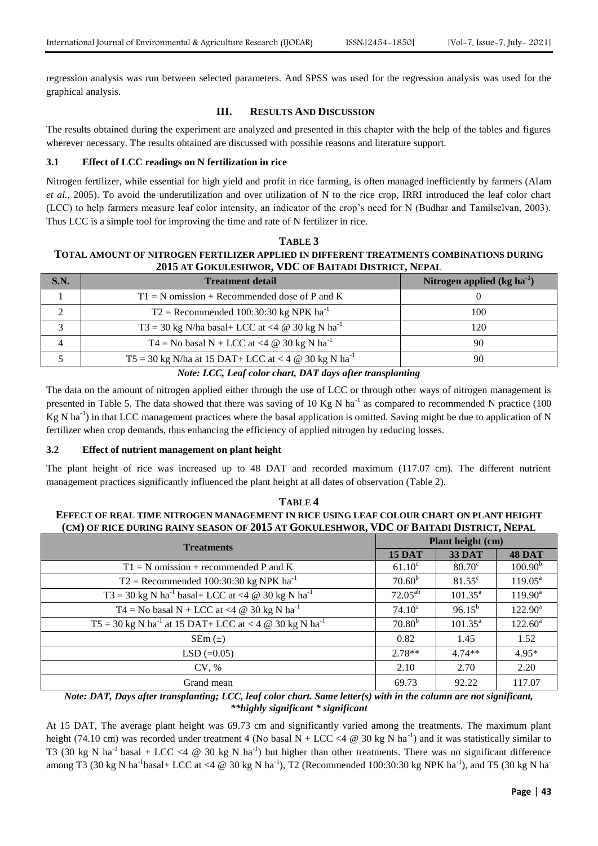regression analysis was run between selected parameters. And SPSS was used for the regression analysis was used for the graphical analysis.

# **III. RESULTS AND DISCUSSION**

The results obtained during the experiment are analyzed and presented in this chapter with the help of the tables and figures wherever necessary. The results obtained are discussed with possible reasons and literature support.

# **3.1 Effect of LCC readings on N fertilization in rice**

Nitrogen fertilizer, while essential for high yield and profit in rice farming, is often managed inefficiently by farmers (Alam *et al.*, 2005). To avoid the underutilization and over utilization of N to the rice crop, IRRI introduced the leaf color chart (LCC) to help farmers measure leaf color intensity, an indicator of the crop's need for N (Budhar and Tamilselvan, 2003). Thus LCC is a simple tool for improving the time and rate of N fertilizer in rice.

# **TABLE 3 TOTAL AMOUNT OF NITROGEN FERTILIZER APPLIED IN DIFFERENT TREATMENTS COMBINATIONS DURING 2015 AT GOKULESHWOR, VDC OF BAITADI DISTRICT, NEPAL**

| S.N. | <b>Treatment detail</b>                                                                                                                                                                                                                                                                                                                                                     | Nitrogen applied $(kg ha-1)$ |
|------|-----------------------------------------------------------------------------------------------------------------------------------------------------------------------------------------------------------------------------------------------------------------------------------------------------------------------------------------------------------------------------|------------------------------|
|      | $T1 = N$ omission + Recommended dose of P and K                                                                                                                                                                                                                                                                                                                             |                              |
|      | $T2$ = Recommended 100:30:30 kg NPK ha <sup>-1</sup>                                                                                                                                                                                                                                                                                                                        | 100                          |
|      | T3 = 30 kg N/ha basal+ LCC at <4 $\omega$ 30 kg N ha <sup>-1</sup>                                                                                                                                                                                                                                                                                                          | 120                          |
| 4    | T4 = No basal N + LCC at <4 $\omega$ 30 kg N ha <sup>-1</sup>                                                                                                                                                                                                                                                                                                               | 90                           |
|      | T5 = 30 kg N/ha at 15 DAT+ LCC at < 4 $\omega$ 30 kg N ha <sup>-1</sup>                                                                                                                                                                                                                                                                                                     | 90                           |
|      | $\mathbf{v}$ $\mathbf{v}$ $\mathbf{v}$ $\mathbf{v}$ $\mathbf{v}$ $\mathbf{v}$ $\mathbf{v}$ $\mathbf{v}$ $\mathbf{v}$ $\mathbf{v}$ $\mathbf{v}$ $\mathbf{v}$ $\mathbf{v}$ $\mathbf{v}$ $\mathbf{v}$ $\mathbf{v}$ $\mathbf{v}$ $\mathbf{v}$ $\mathbf{v}$ $\mathbf{v}$ $\mathbf{v}$ $\mathbf{v}$ $\mathbf{v}$ $\mathbf{v}$ $\mathbf{$<br>$\mathbf{r}$ , the state $\mathbf{r}$ |                              |

#### *Note: LCC, Leaf color chart, DAT days after transplanting*

The data on the amount of nitrogen applied either through the use of LCC or through other ways of nitrogen management is presented in Table 5. The data showed that there was saving of 10 Kg N ha<sup>-1</sup> as compared to recommended N practice (100  $Kg$  N ha<sup>-1</sup>) in that LCC management practices where the basal application is omitted. Saving might be due to application of N fertilizer when crop demands, thus enhancing the efficiency of applied nitrogen by reducing losses.

# **3.2 Effect of nutrient management on plant height**

The plant height of rice was increased up to 48 DAT and recorded maximum (117.07 cm). The different nutrient management practices significantly influenced the plant height at all dates of observation (Table 2).

| TARLE 4                                                                                 |
|-----------------------------------------------------------------------------------------|
| EFFECT OF REAL TIME NITROGEN MANAGEMENT IN RICE USING LEAF COLOUR CHART ON PLANT HEIGHT |
| (CM) OF RICE DURING RAINY SEASON OF 2015 AT GOKULESHWOR, VDC OF BAITADI DISTRICT, NEPAL |

| <b>Treatments</b>                                                                       |                 | Plant height (cm)   |                     |  |  |
|-----------------------------------------------------------------------------------------|-----------------|---------------------|---------------------|--|--|
|                                                                                         |                 | <b>33 DAT</b>       | <b>48 DAT</b>       |  |  |
| $T1 = N$ omission + recommended P and K                                                 | $61.10^{\circ}$ | $80.70^{\circ}$     | 100.90 <sup>b</sup> |  |  |
| $T2$ = Recommended 100:30:30 kg NPK ha <sup>-1</sup>                                    | $70.60^{\rm b}$ | $81.55^{\circ}$     | $119.05^{\text{a}}$ |  |  |
| T3 = 30 kg N ha <sup>-1</sup> basal+ LCC at <4 @ 30 kg N ha <sup>-1</sup>               | $72.05^{ab}$    | $101.35^{\text{a}}$ | $119.90^a$          |  |  |
| T4 = No basal N + LCC at <4 $\omega$ 30 kg N ha <sup>-1</sup>                           | $74.10^a$       | $96.15^{b}$         | $122.90^a$          |  |  |
| $T5 = 30 \text{ kg N} \text{ ha}^{-1}$ at 15 DAT+ LCC at < 4 @ 30 kg N ha <sup>-1</sup> | $70.80^{b}$     | $101.35^a$          | $122.60^a$          |  |  |
| $SEM(\pm)$                                                                              | 0.82            | 1.45                | 1.52                |  |  |
| $LSD (=0.05)$                                                                           | $2.78**$        | $4.74**$            | $4.95*$             |  |  |
| CV, %                                                                                   | 2.10            | 2.70                | 2.20                |  |  |
| Grand mean                                                                              | 69.73           | 92.22               | 117.07              |  |  |

*Note: DAT, Days after transplanting; LCC, leaf color chart. Same letter(s) with in the column are not significant, \*\*highly significant \* significant*

At 15 DAT, The average plant height was 69.73 cm and significantly varied among the treatments. The maximum plant height (74.10 cm) was recorded under treatment 4 (No basal  $N + LCC < 4 \text{ } @$  30 kg N ha<sup>-1</sup>) and it was statistically similar to T3 (30 kg N ha<sup>-1</sup> basal + LCC <4  $\omega$  30 kg N ha<sup>-1</sup>) but higher than other treatments. There was no significant difference among T3 (30 kg N ha<sup>-1</sup>basal+ LCC at <4 @ 30 kg N ha<sup>-1</sup>), T2 (Recommended 100:30:30 kg NPK ha<sup>-1</sup>), and T5 (30 kg N ha<sup>-1</sup>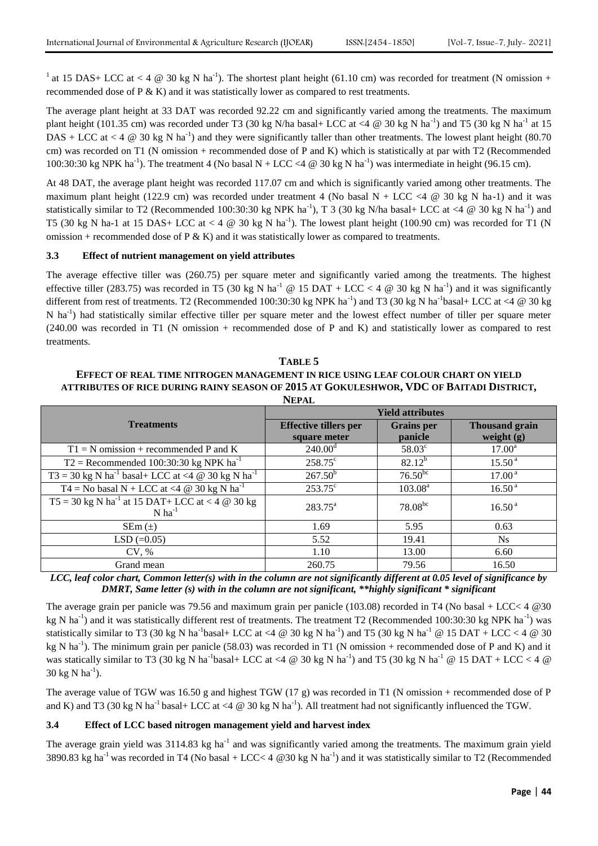<sup>1</sup> at 15 DAS+ LCC at < 4  $\circledcirc$  30 kg N ha<sup>-1</sup>). The shortest plant height (61.10 cm) was recorded for treatment (N omission + recommended dose of  $P \& K$ ) and it was statistically lower as compared to rest treatments.

The average plant height at 33 DAT was recorded 92.22 cm and significantly varied among the treatments. The maximum plant height (101.35 cm) was recorded under T3 (30 kg N/ha basal+ LCC at <4  $\degree$  30 kg N ha<sup>-1</sup>) and T5 (30 kg N ha<sup>-1</sup> at 15 DAS + LCC at < 4  $\omega$  30 kg N ha<sup>-1</sup>) and they were significantly taller than other treatments. The lowest plant height (80.70 cm) was recorded on T1 (N omission + recommended dose of P and K) which is statistically at par with T2 (Recommended 100:30:30 kg NPK ha<sup>-1</sup>). The treatment 4 (No basal N + LCC <4  $\omega$  30 kg N ha<sup>-1</sup>) was intermediate in height (96.15 cm).

At 48 DAT, the average plant height was recorded 117.07 cm and which is significantly varied among other treatments. The maximum plant height (122.9 cm) was recorded under treatment 4 (No basal N + LCC <4  $@$  30 kg N ha-1) and it was statistically similar to T2 (Recommended 100:30:30 kg NPK ha<sup>-1</sup>), T 3 (30 kg N/ha basal+ LCC at <4 @ 30 kg N ha<sup>-1</sup>) and T5 (30 kg N ha-1 at 15 DAS+ LCC at < 4  $\omega$  30 kg N ha<sup>-1</sup>). The lowest plant height (100.90 cm) was recorded for T1 (N omission + recommended dose of P  $\&$  K) and it was statistically lower as compared to treatments.

### **3.3 Effect of nutrient management on yield attributes**

The average effective tiller was (260.75) per square meter and significantly varied among the treatments. The highest effective tiller (283.75) was recorded in T5 (30 kg N ha<sup>-1</sup> @ 15 DAT + LCC < 4 @ 30 kg N ha<sup>-1</sup>) and it was significantly different from rest of treatments. T2 (Recommended 100:30:30 kg NPK ha<sup>-1</sup>) and T3 (30 kg N ha<sup>-1</sup>basal+ LCC at <4 @ 30 kg N ha<sup>-1</sup>) had statistically similar effective tiller per square meter and the lowest effect number of tiller per square meter (240.00 was recorded in T1 (N omission + recommended dose of P and K) and statistically lower as compared to rest treatments.

**TABLE 5 EFFECT OF REAL TIME NITROGEN MANAGEMENT IN RICE USING LEAF COLOUR CHART ON YIELD ATTRIBUTES OF RICE DURING RAINY SEASON OF 2015 AT GOKULESHWOR, VDC OF BAITADI DISTRICT, NEPAL**

|                                                                                                                      | <b>Yield attributes</b>      |                     |                       |  |
|----------------------------------------------------------------------------------------------------------------------|------------------------------|---------------------|-----------------------|--|
| <b>Treatments</b>                                                                                                    | <b>Effective tillers per</b> | <b>Grains</b> per   | <b>Thousand grain</b> |  |
|                                                                                                                      | square meter                 | panicle             | weight $(g)$          |  |
| $T1 = N$ omission + recommended P and K                                                                              | $240.00^{\rm d}$             | $58.03^{\circ}$     | $17.00^{\rm a}$       |  |
| $T2 =$ Recommended 100:30:30 kg NPK ha <sup>-1</sup>                                                                 | $258.75^{\circ}$             | $82.12^{b}$         | $15.50^{\text{a}}$    |  |
| $T3 = 30 \text{ kg N} \text{ ha}^{-1} \text{ basal} + LCC \text{ at} < 4 \text{ @ } 30 \text{ kg N} \text{ ha}^{-1}$ | $267.50^{b}$                 | $76.50^{bc}$        | 17.00 <sup>a</sup>    |  |
| T4 = No basal N + LCC at <4 $\omega$ 30 kg N ha <sup>-1</sup>                                                        | $253.75^{\circ}$             | 103.08 <sup>a</sup> | 16.50 <sup>a</sup>    |  |
| T5 = 30 kg N ha <sup>-1</sup> at 15 DAT+ LCC at < 4 $\omega$ 30 kg                                                   | $283.75^{\rm a}$             | $78.08^{bc}$        | 16.50 <sup>a</sup>    |  |
| $N$ ha <sup>-1</sup>                                                                                                 |                              |                     |                       |  |
| $SEM(\pm)$                                                                                                           | 1.69                         | 5.95                | 0.63                  |  |
| $LSD (=0.05)$                                                                                                        | 5.52                         | 19.41               | $N_{S}$               |  |
| CV, %                                                                                                                | 1.10                         | 13.00               | 6.60                  |  |
| Grand mean                                                                                                           | 260.75                       | 79.56               | 16.50                 |  |

*LCC, leaf color chart, Common letter(s) with in the column are not significantly different at 0.05 level of significance by DMRT, Same letter (s) with in the column are not significant, \*\*highly significant \* significant*

The average grain per panicle was 79.56 and maximum grain per panicle (103.08) recorded in T4 (No basal + LCC< 4 @30 kg N ha<sup>-1</sup>) and it was statistically different rest of treatments. The treatment T2 (Recommended 100:30:30 kg NPK ha<sup>-1</sup>) was statistically similar to T3 (30 kg N ha<sup>-1</sup>basal+ LCC at <4  $@$  30 kg N ha<sup>-1</sup>) and T5 (30 kg N ha<sup>-1</sup>  $@$  15 DAT + LCC < 4  $@$  30 kg N ha<sup>-1</sup>). The minimum grain per panicle (58.03) was recorded in T1 (N omission + recommended dose of P and K) and it was statically similar to T3 (30 kg N ha<sup>-1</sup>basal+ LCC at <4  $\omega$  30 kg N ha<sup>-1</sup>) and T5 (30 kg N ha<sup>-1</sup>  $\omega$  15 DAT + LCC < 4  $\omega$  $30 \text{ kg N} \text{ ha}^{-1}$ ).

The average value of TGW was 16.50 g and highest TGW (17 g) was recorded in T1 (N omission + recommended dose of P and K) and T3 (30 kg N ha<sup>-1</sup> basal+ LCC at <4  $\omega$  30 kg N ha<sup>-1</sup>). All treatment had not significantly influenced the TGW.

# **3.4 Effect of LCC based nitrogen management yield and harvest index**

The average grain yield was 3114.83 kg ha<sup>-1</sup> and was significantly varied among the treatments. The maximum grain yield 3890.83 kg ha<sup>-1</sup> was recorded in T4 (No basal + LCC< 4  $@30$  kg N ha<sup>-1</sup>) and it was statistically similar to T2 (Recommended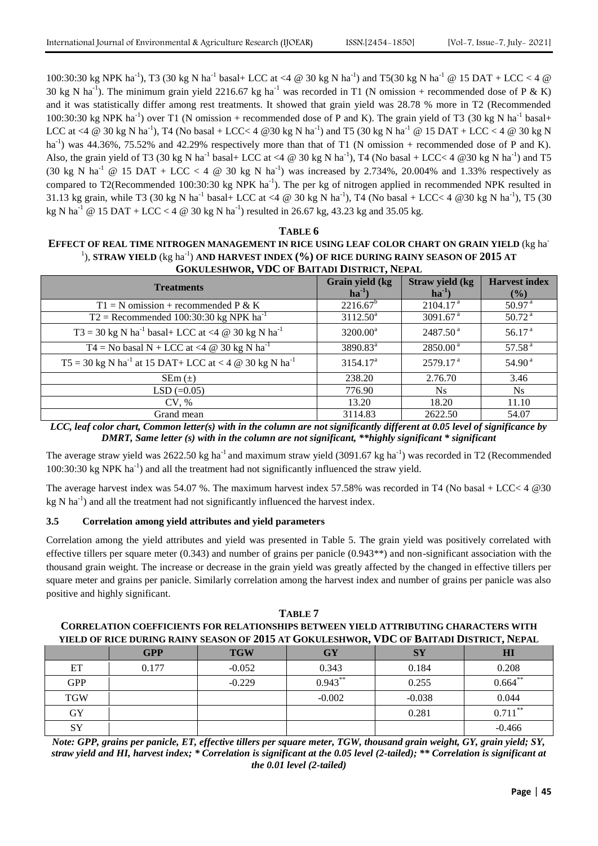100:30:30 kg NPK ha<sup>-1</sup>), T3 (30 kg N ha<sup>-1</sup> basal+ LCC at <4 @ 30 kg N ha<sup>-1</sup>) and T5(30 kg N ha<sup>-1</sup> @ 15 DAT + LCC < 4 @ 30 kg N ha<sup>-1</sup>). The minimum grain yield 2216.67 kg ha<sup>-1</sup> was recorded in T1 (N omission + recommended dose of P & K) and it was statistically differ among rest treatments. It showed that grain yield was 28.78 % more in T2 (Recommended 100:30:30 kg NPK ha<sup>-1</sup>) over T1 (N omission + recommended dose of P and K). The grain yield of T3 (30 kg N ha<sup>-1</sup> basal+ LCC at <4 @ 30 kg N ha<sup>-1</sup>), T4 (No basal + LCC< 4 @30 kg N ha<sup>-1</sup>) and T5 (30 kg N ha<sup>-1</sup> @ 15 DAT + LCC < 4 @ 30 kg N ha<sup>-1</sup>) was 44.36%, 75.52% and 42.29% respectively more than that of T1 (N omission + recommended dose of P and K). Also, the grain yield of T3 (30 kg N ha<sup>-1</sup> basal+ LCC at <4 @ 30 kg N ha<sup>-1</sup>), T4 (No basal + LCC< 4 @30 kg N ha<sup>-1</sup>) and T5 (30 kg N ha<sup>-1</sup> @ 15 DAT + LCC < 4 @ 30 kg N ha<sup>-1</sup>) was increased by 2.734%, 20.004% and 1.33% respectively as compared to T2(Recommended 100:30:30 kg NPK  $ha^{-1}$ ). The per kg of nitrogen applied in recommended NPK resulted in 31.13 kg grain, while T3 (30 kg N ha<sup>-1</sup> basal+ LCC at <4 @ 30 kg N ha<sup>-1</sup>), T4 (No basal + LCC< 4 @30 kg N ha<sup>-1</sup>), T5 (30 kg N ha<sup>-1</sup> @ 15 DAT + LCC < 4 @ 30 kg N ha<sup>-1</sup>) resulted in 26.67 kg, 43.23 kg and 35.05 kg.

#### **TABLE 6**

# **EFFECT OF REAL TIME NITROGEN MANAGEMENT IN RICE USING LEAF COLOR CHART ON GRAIN YIELD** (kg ha-<sup>1</sup>), STRAW YIELD (kg ha<sup>-1</sup>) AND HARVEST INDEX (%) OF RICE DURING RAINY SEASON OF 2015 AT **GOKULESHWOR, VDC OF BAITADI DISTRICT, NEPAL**

| <b>Treatments</b>                                                                | Grain yield (kg<br>$ha^{-1}$ | Straw yield (kg<br>$ha^{-1}$ | <b>Harvest</b> index<br>(%) |
|----------------------------------------------------------------------------------|------------------------------|------------------------------|-----------------------------|
| $T1 = N$ omission + recommended P & K                                            | $2216.67^b$                  | 2104.17 <sup>a</sup>         | 50.97 <sup>a</sup>          |
| $T2$ = Recommended 100:30:30 kg NPK ha <sup>-1</sup>                             | $3112.50^a$                  | 3091.67 $a$                  | 50.72 <sup>a</sup>          |
| T3 = 30 kg N ha <sup>-1</sup> basal+ LCC at <4 $\omega$ 30 kg N ha <sup>-1</sup> | $3200.00^a$                  | 2487.50 <sup>a</sup>         | 56.17 $a$                   |
| T4 = No basal N + LCC at <4 $\omega$ 30 kg N ha <sup>-1</sup>                    | 3890.83 <sup>a</sup>         | $2850.00^{\text{ a}}$        | 57.58 <sup>a</sup>          |
| $T5 = 30$ kg N ha <sup>-1</sup> at 15 DAT+ LCC at < 4 @ 30 kg N ha <sup>-1</sup> | $3154.17^a$                  | 2579.17 <sup>a</sup>         | 54.90 <sup>a</sup>          |
| $SEM (\pm)$                                                                      | 238.20                       | 2.76.70                      | 3.46                        |
| $LSD (=0.05)$                                                                    | 776.90                       | Ns                           | <b>Ns</b>                   |
| CV, %                                                                            | 13.20                        | 18.20                        | 11.10                       |
| Grand mean                                                                       | 3114.83                      | 2622.50                      | 54.07                       |

*LCC, leaf color chart, Common letter(s) with in the column are not significantly different at 0.05 level of significance by DMRT, Same letter (s) with in the column are not significant, \*\*highly significant \* significant*

The average straw yield was 2622.50 kg ha<sup>-1</sup> and maximum straw yield (3091.67 kg ha<sup>-1</sup>) was recorded in T2 (Recommended 100:30:30 kg NPK ha<sup>-1</sup>) and all the treatment had not significantly influenced the straw yield.

The average harvest index was 54.07 %. The maximum harvest index 57.58% was recorded in T4 (No basal + LCC< 4 @30  $kg N$  ha<sup>-1</sup>) and all the treatment had not significantly influenced the harvest index.

# **3.5 Correlation among yield attributes and yield parameters**

Correlation among the yield attributes and yield was presented in Table 5. The grain yield was positively correlated with effective tillers per square meter (0.343) and number of grains per panicle (0.943\*\*) and non-significant association with the thousand grain weight. The increase or decrease in the grain yield was greatly affected by the changed in effective tillers per square meter and grains per panicle. Similarly correlation among the harvest index and number of grains per panicle was also positive and highly significant.

| TABLE 7                                                                                     |
|---------------------------------------------------------------------------------------------|
| <b>CORRELATION COEFFICIENTS FOR RELATIONSHIPS BETWEEN YIELD ATTRIBUTING CHARACTERS WITH</b> |
| yield of rice during rainy season of 2015 at Gokuleshwor, VDC of Baitadi District, Nepal    |

|            | <b>GPP</b> | <b>TGW</b> | <b>GY</b>  | <b>SY</b> | HI         |
|------------|------------|------------|------------|-----------|------------|
| ET         | 0.177      | $-0.052$   | 0.343      | 0.184     | 0.208      |
| <b>GPP</b> |            | $-0.229$   | $0.943***$ | 0.255     | $0.664**$  |
| <b>TGW</b> |            |            | $-0.002$   | $-0.038$  | 0.044      |
| GY         |            |            |            | 0.281     | $0.711***$ |
| SY         |            |            |            |           | $-0.466$   |

*Note: GPP, grains per panicle, ET, effective tillers per square meter, TGW, thousand grain weight, GY, grain yield; SY, straw yield and HI, harvest index; \* Correlation is significant at the 0.05 level (2-tailed); \*\* Correlation is significant at the 0.01 level (2-tailed)*